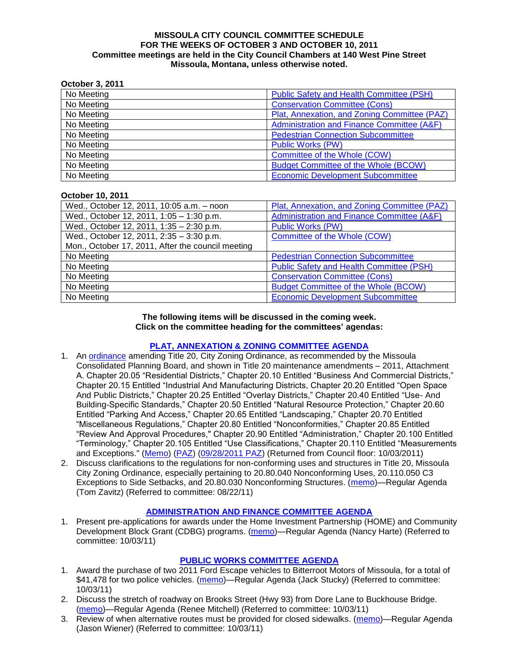#### **MISSOULA CITY COUNCIL COMMITTEE SCHEDULE FOR THE WEEKS OF OCTOBER 3 AND OCTOBER 10, 2011 Committee meetings are held in the City Council Chambers at 140 West Pine Street Missoula, Montana, unless otherwise noted.**

#### **October 3, 2011**

| No Meeting | Public Safety and Health Committee (PSH)     |
|------------|----------------------------------------------|
| No Meeting | <b>Conservation Committee (Cons)</b>         |
| No Meeting | Plat, Annexation, and Zoning Committee (PAZ) |
| No Meeting | Administration and Finance Committee (A&F)   |
| No Meeting | <b>Pedestrian Connection Subcommittee</b>    |
| No Meeting | <b>Public Works (PW)</b>                     |
| No Meeting | Committee of the Whole (COW)                 |
| No Meeting | <b>Budget Committee of the Whole (BCOW)</b>  |
| No Meeting | <b>Economic Development Subcommittee</b>     |

#### **October 10, 2011**

| Wed., October 12, 2011, 10:05 a.m. - noon         | Plat, Annexation, and Zoning Committee (PAZ)    |
|---------------------------------------------------|-------------------------------------------------|
| Wed., October 12, 2011, 1:05 - 1:30 p.m.          | Administration and Finance Committee (A&F)      |
| Wed., October 12, 2011, 1:35 - 2:30 p.m.          | <b>Public Works (PW)</b>                        |
| Wed., October 12, 2011, 2:35 - 3:30 p.m.          | Committee of the Whole (COW)                    |
| Mon., October 17, 2011, After the council meeting |                                                 |
| No Meeting                                        | <b>Pedestrian Connection Subcommittee</b>       |
| No Meeting                                        | <b>Public Safety and Health Committee (PSH)</b> |
| No Meeting                                        | <b>Conservation Committee (Cons)</b>            |
| No Meeting                                        | <b>Budget Committee of the Whole (BCOW)</b>     |
| No Meeting                                        | <b>Economic Development Subcommittee</b>        |

#### **The following items will be discussed in the coming week. Click on the committee heading for the committees' agendas:**

### **[PLAT, ANNEXATION & ZONING COMMITTEE AGENDA](http://www.ci.missoula.mt.us/DocumentCenterii.aspx?FID=831)**

- 1. An [ordinance](http://www.ci.missoula.mt.us/DocumentView.aspx?DID=7211) amending Title 20, City Zoning Ordinance, as recommended by the Missoula Consolidated Planning Board, and shown in Title 20 maintenance amendments – 2011, Attachment A. Chapter 20.05 "Residential Districts," Chapter 20.10 Entitled "Business And Commercial Districts," Chapter 20.15 Entitled "Industrial And Manufacturing Districts, Chapter 20.20 Entitled "Open Space And Public Districts," Chapter 20.25 Entitled "Overlay Districts," Chapter 20.40 Entitled "Use- And Building-Specific Standards," Chapter 20.50 Entitled "Natural Resource Protection," Chapter 20.60 Entitled "Parking And Access," Chapter 20.65 Entitled "Landscaping," Chapter 20.70 Entitled "Miscellaneous Regulations," Chapter 20.80 Entitled "Nonconformities," Chapter 20.85 Entitled "Review And Approval Procedures," Chapter 20.90 Entitled "Administration," Chapter 20.100 Entitled "Terminology," Chapter 20.105 Entitled "Use Classifications," Chapter 20.110 Entitled "Measurements and Exceptions." [\(Memo\)](http://www.ci.missoula.mt.us/DocumentView.aspx?DID=7143) [\(PAZ\)](http://www.ci.missoula.mt.us/Archive.aspx?ADID=4405) [\(09/28/2011 PAZ\)](http://www.ci.missoula.mt.us/Archive.aspx?ADID=4526) (Returned from Council floor: 10/03/2011)
- 2. Discuss clarifications to the regulations for non-conforming uses and structures in Title 20, Missoula City Zoning Ordinance, especially pertaining to 20.80.040 Nonconforming Uses, 20.110.050 C3 Exceptions to Side Setbacks, and 20.80.030 Nonconforming Structures. [\(memo\)](http://www.ci.missoula.mt.us/DocumentView.aspx?DID=7140)—Regular Agenda (Tom Zavitz) (Referred to committee: 08/22/11)

#### **[ADMINISTRATION AND FINANCE COMMITTEE AGENDA](http://www.ci.missoula.mt.us/DocumentCenterii.aspx?FID=830)**

1. Present pre-applications for awards under the Home Investment Partnership (HOME) and Community Development Block Grant (CDBG) programs. [\(memo\)](http://www.ci.missoula.mt.us/DocumentView.aspx?DID=7362)—Regular Agenda (Nancy Harte) (Referred to committee: 10/03/11)

### **[PUBLIC WORKS COMMITTEE AGENDA](http://www.ci.missoula.mt.us/DocumentCenterii.aspx?FID=833)**

- 1. Award the purchase of two 2011 Ford Escape vehicles to Bitterroot Motors of Missoula, for a total of \$41,478 for two police vehicles. [\(memo\)](http://www.ci.missoula.mt.us/DocumentView.aspx?DID=7366)—Regular Agenda (Jack Stucky) (Referred to committee: 10/03/11)
- 2. Discuss the stretch of roadway on Brooks Street (Hwy 93) from Dore Lane to Buckhouse Bridge. [\(memo\)](http://www.ci.missoula.mt.us/DocumentView.aspx?DID=7363)—Regular Agenda (Renee Mitchell) (Referred to committee: 10/03/11)
- 3. Review of when alternative routes must be provided for closed sidewalks. [\(memo\)](http://www.ci.missoula.mt.us/DocumentView.aspx?DID=7371)—Regular Agenda (Jason Wiener) (Referred to committee: 10/03/11)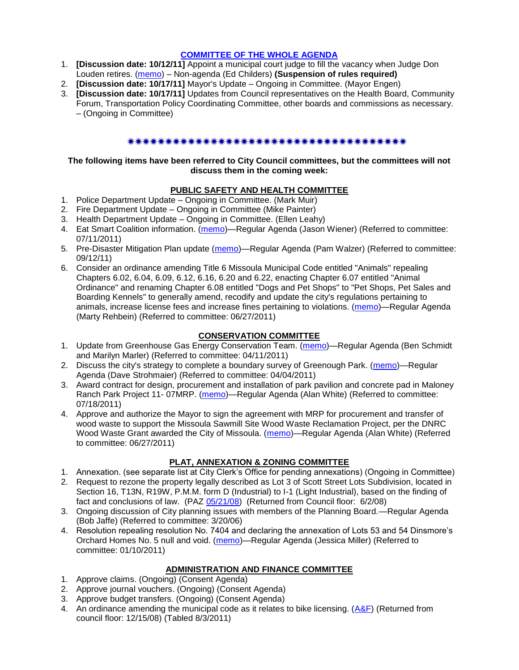#### **[COMMITTEE OF THE WHOLE AGENDA](http://www.ci.missoula.mt.us/DocumentCenterii.aspx?FID=834)**

- 1. **[Discussion date: 10/12/11]** Appoint a municipal court judge to fill the vacancy when Judge Don Louden retires. [\(memo\)](http://www.ci.missoula.mt.us/DocumentView.aspx?DID=7408) – Non-agenda (Ed Childers) **(Suspension of rules required)**
- 2. **[Discussion date: 10/17/11]** Mayor's Update Ongoing in Committee. (Mayor Engen)
- 3. **[Discussion date: 10/17/11]** Updates from Council representatives on the Health Board, Community Forum, Transportation Policy Coordinating Committee, other boards and commissions as necessary. – (Ongoing in Committee)

### 

### **The following items have been referred to City Council committees, but the committees will not discuss them in the coming week:**

### **PUBLIC SAFETY AND HEALTH COMMITTEE**

- 1. Police Department Update Ongoing in Committee. (Mark Muir)
- 2. Fire Department Update Ongoing in Committee (Mike Painter)
- 3. Health Department Update Ongoing in Committee. (Ellen Leahy)
- 4. Eat Smart Coalition information. [\(memo\)](http://www.ci.missoula.mt.us/DocumentView.aspx?DID=6776)—Regular Agenda (Jason Wiener) (Referred to committee: 07/11/2011)
- 5. Pre-Disaster Mitigation Plan update [\(memo\)](http://www.ci.missoula.mt.us/DocumentView.aspx?DID=7230)—Regular Agenda (Pam Walzer) (Referred to committee: 09/12/11)
- 6. Consider an ordinance amending Title 6 Missoula Municipal Code entitled "Animals" repealing Chapters 6.02, 6.04, 6.09, 6.12, 6.16, 6.20 and 6.22, enacting Chapter 6.07 entitled "Animal Ordinance" and renaming Chapter 6.08 entitled "Dogs and Pet Shops" to "Pet Shops, Pet Sales and Boarding Kennels" to generally amend, recodify and update the city's regulations pertaining to animals, increase license fees and increase fines pertaining to violations. [\(memo\)](http://www.ci.missoula.mt.us/DocumentView.aspx?DID=6698)—Regular Agenda (Marty Rehbein) (Referred to committee: 06/27/2011)

## **CONSERVATION COMMITTEE**

- 1. Update from Greenhouse Gas Energy Conservation Team. [\(memo\)](http://www.ci.missoula.mt.us/DocumentView.aspx?DID=5945)—Regular Agenda (Ben Schmidt and Marilyn Marler) (Referred to committee: 04/11/2011)
- 2. Discuss the city's strategy to complete a boundary survey of Greenough Park. [\(memo\)](http://www.ci.missoula.mt.us/DocumentView.aspx?DID=5875)—Regular Agenda (Dave Strohmaier) (Referred to committee: 04/04/2011)
- 3. Award contract for design, procurement and installation of park pavilion and concrete pad in Maloney Ranch Park Project 11- 07MRP. [\(memo\)](http://www.ci.missoula.mt.us/DocumentView.aspx?DID=6859)—Regular Agenda (Alan White) (Referred to committee: 07/18/2011)
- 4. Approve and authorize the Mayor to sign the agreement with MRP for procurement and transfer of wood waste to support the Missoula Sawmill Site Wood Waste Reclamation Project, per the DNRC Wood Waste Grant awarded the City of Missoula. [\(memo\)](http://www.ci.missoula.mt.us/DocumentView.aspx?DID=6682)—Regular Agenda (Alan White) (Referred to committee: 06/27/2011)

# **PLAT, ANNEXATION & ZONING COMMITTEE**

- 1. Annexation. (see separate list at City Clerk's Office for pending annexations) (Ongoing in Committee)
- 2. Request to rezone the property legally described as Lot 3 of Scott Street Lots Subdivision, located in Section 16, T13N, R19W, P.M.M. form D (Industrial) to I-1 (Light Industrial), based on the finding of fact and conclusions of law. (PAZ [05/21/08\)](ftp://ftp.ci.missoula.mt.us/Packets/Council/2008/2008-06-02/080521paz.pdf) (Returned from Council floor: 6/2/08)
- 3. Ongoing discussion of City planning issues with members of the Planning Board.—Regular Agenda (Bob Jaffe) (Referred to committee: 3/20/06)
- 4. Resolution repealing resolution No. 7404 and declaring the annexation of Lots 53 and 54 Dinsmore's Orchard Homes No. 5 null and void. [\(memo\)](http://www.ci.missoula.mt.us/DocumentView.aspx?DID=5349)—Regular Agenda (Jessica Miller) (Referred to committee: 01/10/2011)

## **ADMINISTRATION AND FINANCE COMMITTEE**

- 1. Approve claims. (Ongoing) (Consent Agenda)
- 2. Approve journal vouchers. (Ongoing) (Consent Agenda)
- 3. Approve budget transfers. (Ongoing) (Consent Agenda)
- 4. An ordinance amending the municipal code as it relates to bike licensing.  $(A\&F)$  (Returned from council floor: 12/15/08) (Tabled 8/3/2011)